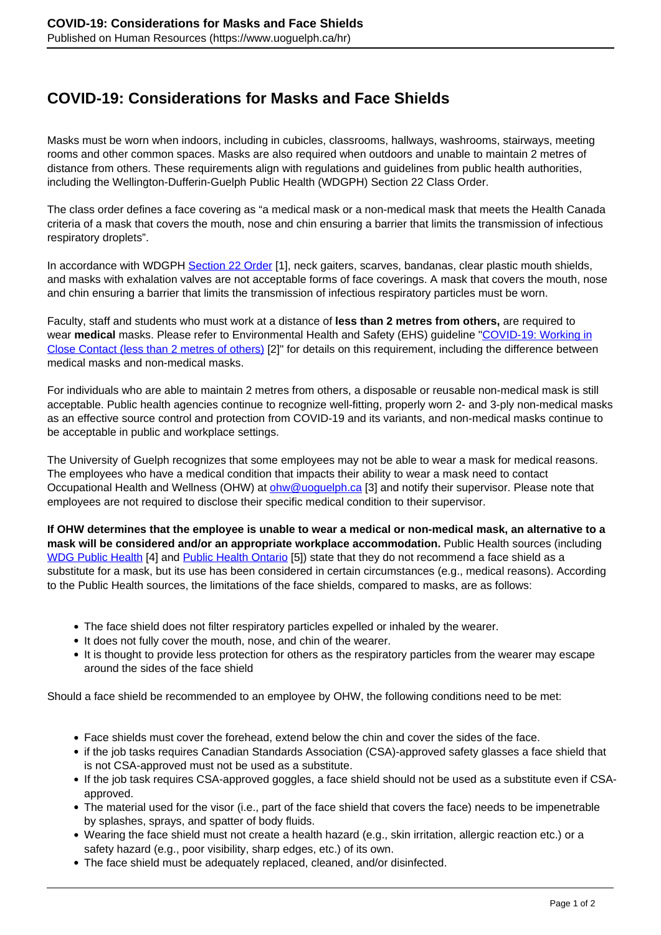## **COVID-19: Considerations for Masks and Face Shields**

Masks must be worn when indoors, including in cubicles, classrooms, hallways, washrooms, stairways, meeting rooms and other common spaces. Masks are also required when outdoors and unable to maintain 2 metres of distance from others. These requirements align with regulations and guidelines from public health authorities, including the Wellington-Dufferin-Guelph Public Health (WDGPH) Section 22 Class Order.

The class order defines a face covering as "a medical mask or a non-medical mask that meets the Health Canada criteria of a mask that covers the mouth, nose and chin ensuring a barrier that limits the transmission of infectious respiratory droplets".

In accordance with WDGPH [Section 22 Order](https://www.wdgpublichealth.ca/sites/default/files/class_order_face_coverings_-_march_15_2021.pdf) [1], neck gaiters, scarves, bandanas, clear plastic mouth shields, and masks with exhalation valves are not acceptable forms of face coverings. A mask that covers the mouth, nose and chin ensuring a barrier that limits the transmission of infectious respiratory particles must be worn.

Faculty, staff and students who must work at a distance of **less than 2 metres from others,** are required to wear **medical** masks. Please refer to Environmental Health and Safety (EHS) guideline "COVID-19: Working in Close Contact (less than 2 metres of others) [2]" for details on this requirement, including the difference between medical masks and non-medical masks.

For individuals who are able to maintain 2 metres from others, a disposable or reusable non-medical mask is still acceptable. Public health agencies continue to recognize well-fitting, properly worn 2- and 3-ply non-medical masks as an effective source control and protection from COVID-19 and its variants, and non-medical masks continue to be acceptable in public and workplace settings.

The University of Guelph recognizes that some employees may not be able to wear a mask for medical reasons. The employees who have a medical condition that impacts their ability to wear a mask need to contact Occupational Health and Wellness (OHW) at ohw@uoguelph.ca [3] and notify their supervisor. Please note that employees are not required to disclose their specific medical condition to their supervisor.

**If OHW determines that the employee is unable to wear a medical or non-medical mask, an alternative to a mask will be considered and/or an appropriate workplace accommodation.** Public Health sources (including WDG Public Health [4] and Public Health Ontario [5]) state that they do not recommend a face shield as a substitute for a mask, but its use has been considered in certain circumstances (e.g., medical reasons). According to the Public Health sources, the limitations of the face shields, compared to masks, are as follows:

- The face shield does not filter respiratory particles expelled or inhaled by the wearer.
- It does not fully cover the mouth, nose, and chin of the wearer.
- It is thought to provide less protection for others as the respiratory particles from the wearer may escape around the sides of the face shield

Should a face shield be recommended to an employee by OHW, the following conditions need to be met:

- Face shields must cover the forehead, extend below the chin and cover the sides of the face.
- if the job tasks requires Canadian Standards Association (CSA)-approved safety glasses a face shield that is not CSA-approved must not be used as a substitute.
- If the job task requires CSA-approved goggles, a face shield should not be used as a substitute even if CSAapproved.
- The material used for the visor (i.e., part of the face shield that covers the face) needs to be impenetrable by splashes, sprays, and spatter of body fluids.
- Wearing the face shield must not create a health hazard (e.g., skin irritation, allergic reaction etc.) or a safety hazard (e.g., poor visibility, sharp edges, etc.) of its own.
- The face shield must be adequately replaced, cleaned, and/or disinfected.